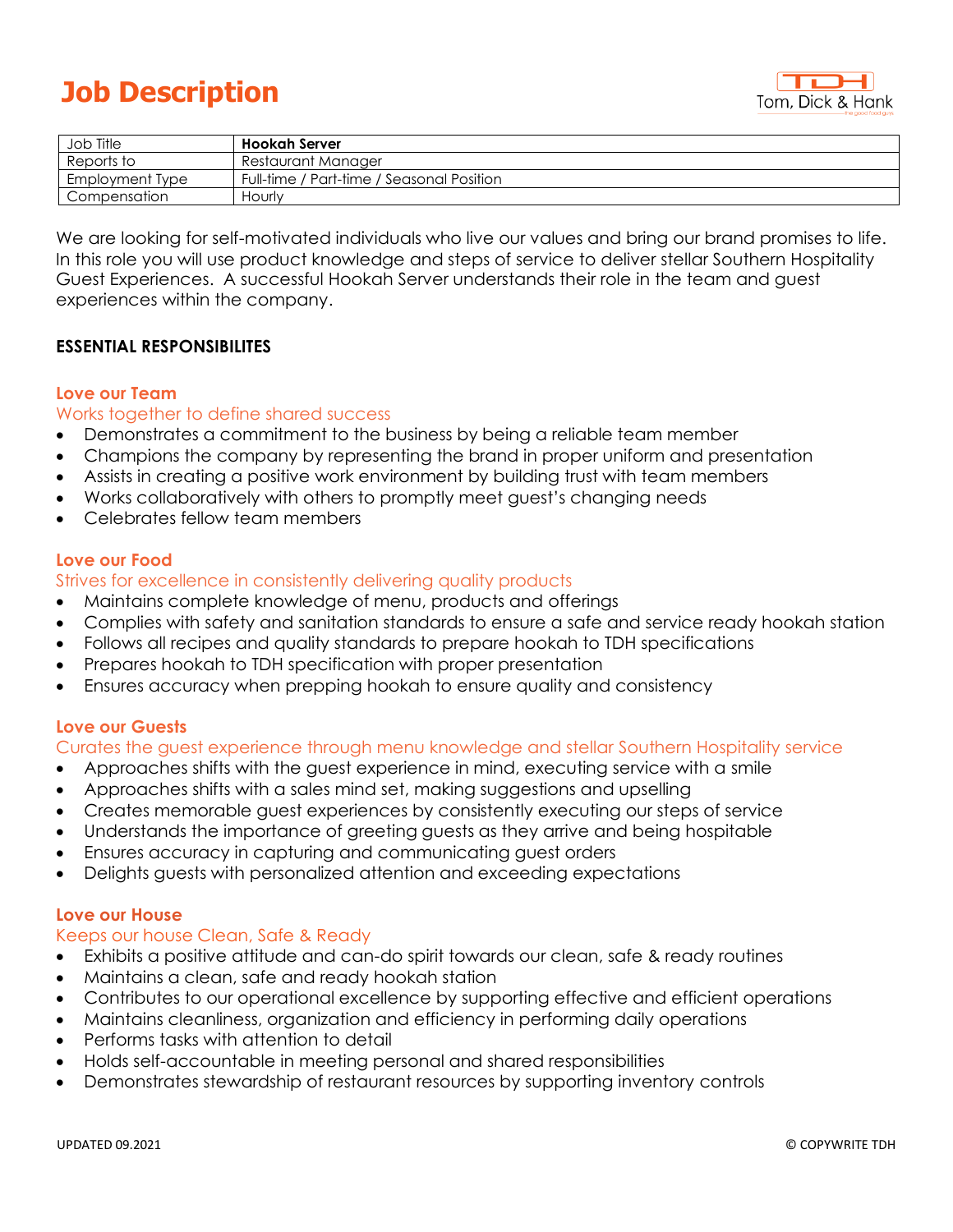# **Job Description**



| Job Title       | Hookah Server                             |
|-----------------|-------------------------------------------|
| Reports to      | Restaurant Manager                        |
| Employment Type | Full-time / Part-time / Seasonal Position |
| Compensation    | Hourly                                    |

We are looking for self-motivated individuals who live our values and bring our brand promises to life. In this role you will use product knowledge and steps of service to deliver stellar Southern Hospitality Guest Experiences. A successful Hookah Server understands their role in the team and guest experiences within the company.

## **ESSENTIAL RESPONSIBILITES**

#### **Love our Team**

## Works together to define shared success

- Demonstrates a commitment to the business by being a reliable team member
- Champions the company by representing the brand in proper uniform and presentation
- Assists in creating a positive work environment by building trust with team members
- Works collaboratively with others to promptly meet guest's changing needs
- Celebrates fellow team members

## **Love our Food**

## Strives for excellence in consistently delivering quality products

- Maintains complete knowledge of menu, products and offerings
- Complies with safety and sanitation standards to ensure a safe and service ready hookah station
- Follows all recipes and quality standards to prepare hookah to TDH specifications
- Prepares hookah to TDH specification with proper presentation
- Ensures accuracy when prepping hookah to ensure quality and consistency

## **Love our Guests**

#### Curates the guest experience through menu knowledge and stellar Southern Hospitality service

- Approaches shifts with the guest experience in mind, executing service with a smile
- Approaches shifts with a sales mind set, making suggestions and upselling
- Creates memorable guest experiences by consistently executing our steps of service
- Understands the importance of greeting guests as they arrive and being hospitable
- Ensures accuracy in capturing and communicating guest orders
- Delights guests with personalized attention and exceeding expectations

#### **Love our House**

#### Keeps our house Clean, Safe & Ready

- Exhibits a positive attitude and can-do spirit towards our clean, safe & ready routines
- Maintains a clean, safe and ready hookah station
- Contributes to our operational excellence by supporting effective and efficient operations
- Maintains cleanliness, organization and efficiency in performing daily operations
- Performs tasks with attention to detail
- Holds self-accountable in meeting personal and shared responsibilities
- Demonstrates stewardship of restaurant resources by supporting inventory controls